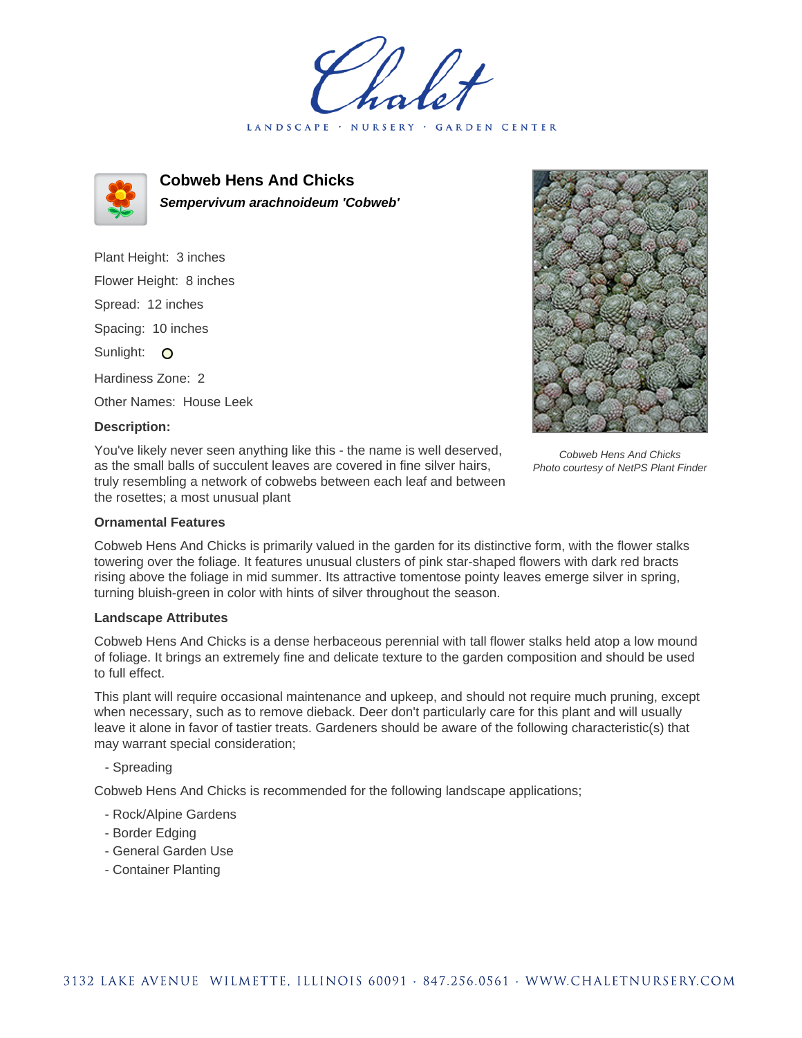LANDSCAPE · NURSERY GARDEN CENTER



**Cobweb Hens And Chicks Sempervivum arachnoideum 'Cobweb'**

Plant Height: 3 inches Flower Height: 8 inches Spread: 12 inches Spacing: 10 inches Sunlight: O Hardiness Zone: 2 Other Names: House Leek

Cobweb Hens And Chicks Photo courtesy of NetPS Plant Finder

# **Description:**

You've likely never seen anything like this - the name is well deserved, as the small balls of succulent leaves are covered in fine silver hairs, truly resembling a network of cobwebs between each leaf and between the rosettes; a most unusual plant

# **Ornamental Features**

Cobweb Hens And Chicks is primarily valued in the garden for its distinctive form, with the flower stalks towering over the foliage. It features unusual clusters of pink star-shaped flowers with dark red bracts rising above the foliage in mid summer. Its attractive tomentose pointy leaves emerge silver in spring, turning bluish-green in color with hints of silver throughout the season.

### **Landscape Attributes**

Cobweb Hens And Chicks is a dense herbaceous perennial with tall flower stalks held atop a low mound of foliage. It brings an extremely fine and delicate texture to the garden composition and should be used to full effect.

This plant will require occasional maintenance and upkeep, and should not require much pruning, except when necessary, such as to remove dieback. Deer don't particularly care for this plant and will usually leave it alone in favor of tastier treats. Gardeners should be aware of the following characteristic(s) that may warrant special consideration;

### - Spreading

Cobweb Hens And Chicks is recommended for the following landscape applications;

- Rock/Alpine Gardens
- Border Edging
- General Garden Use
- Container Planting